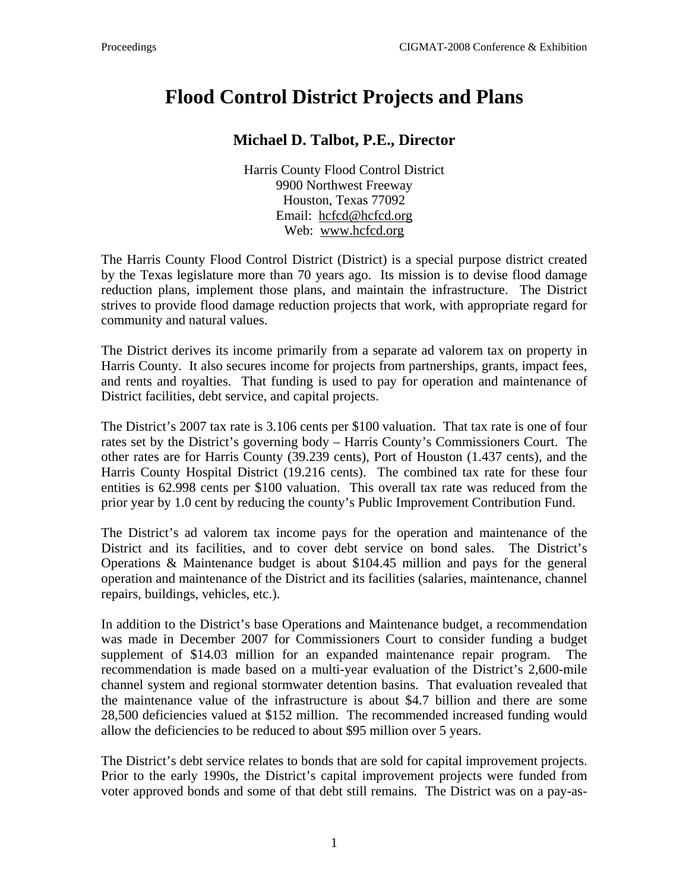## **Flood Control District Projects and Plans**

## **Michael D. Talbot, P.E., Director**

Harris County Flood Control District 9900 Northwest Freeway Houston, Texas 77092 Email: [hcfcd@hcfcd.org](mailto:hcfcd@hcfcd.org) Web: www.hcfcd.org

The Harris County Flood Control District (District) is a special purpose district created by the Texas legislature more than 70 years ago. Its mission is to devise flood damage reduction plans, implement those plans, and maintain the infrastructure. The District strives to provide flood damage reduction projects that work, with appropriate regard for community and natural values.

The District derives its income primarily from a separate ad valorem tax on property in Harris County. It also secures income for projects from partnerships, grants, impact fees, and rents and royalties. That funding is used to pay for operation and maintenance of District facilities, debt service, and capital projects.

The District's 2007 tax rate is 3.106 cents per \$100 valuation. That tax rate is one of four rates set by the District's governing body – Harris County's Commissioners Court. The other rates are for Harris County (39.239 cents), Port of Houston (1.437 cents), and the Harris County Hospital District (19.216 cents). The combined tax rate for these four entities is 62.998 cents per \$100 valuation. This overall tax rate was reduced from the prior year by 1.0 cent by reducing the county's Public Improvement Contribution Fund.

The District's ad valorem tax income pays for the operation and maintenance of the District and its facilities, and to cover debt service on bond sales. The District's Operations & Maintenance budget is about \$104.45 million and pays for the general operation and maintenance of the District and its facilities (salaries, maintenance, channel repairs, buildings, vehicles, etc.).

In addition to the District's base Operations and Maintenance budget, a recommendation was made in December 2007 for Commissioners Court to consider funding a budget supplement of \$14.03 million for an expanded maintenance repair program. The recommendation is made based on a multi-year evaluation of the District's 2,600-mile channel system and regional stormwater detention basins. That evaluation revealed that the maintenance value of the infrastructure is about \$4.7 billion and there are some 28,500 deficiencies valued at \$152 million. The recommended increased funding would allow the deficiencies to be reduced to about \$95 million over 5 years.

The District's debt service relates to bonds that are sold for capital improvement projects. Prior to the early 1990s, the District's capital improvement projects were funded from voter approved bonds and some of that debt still remains. The District was on a pay-as